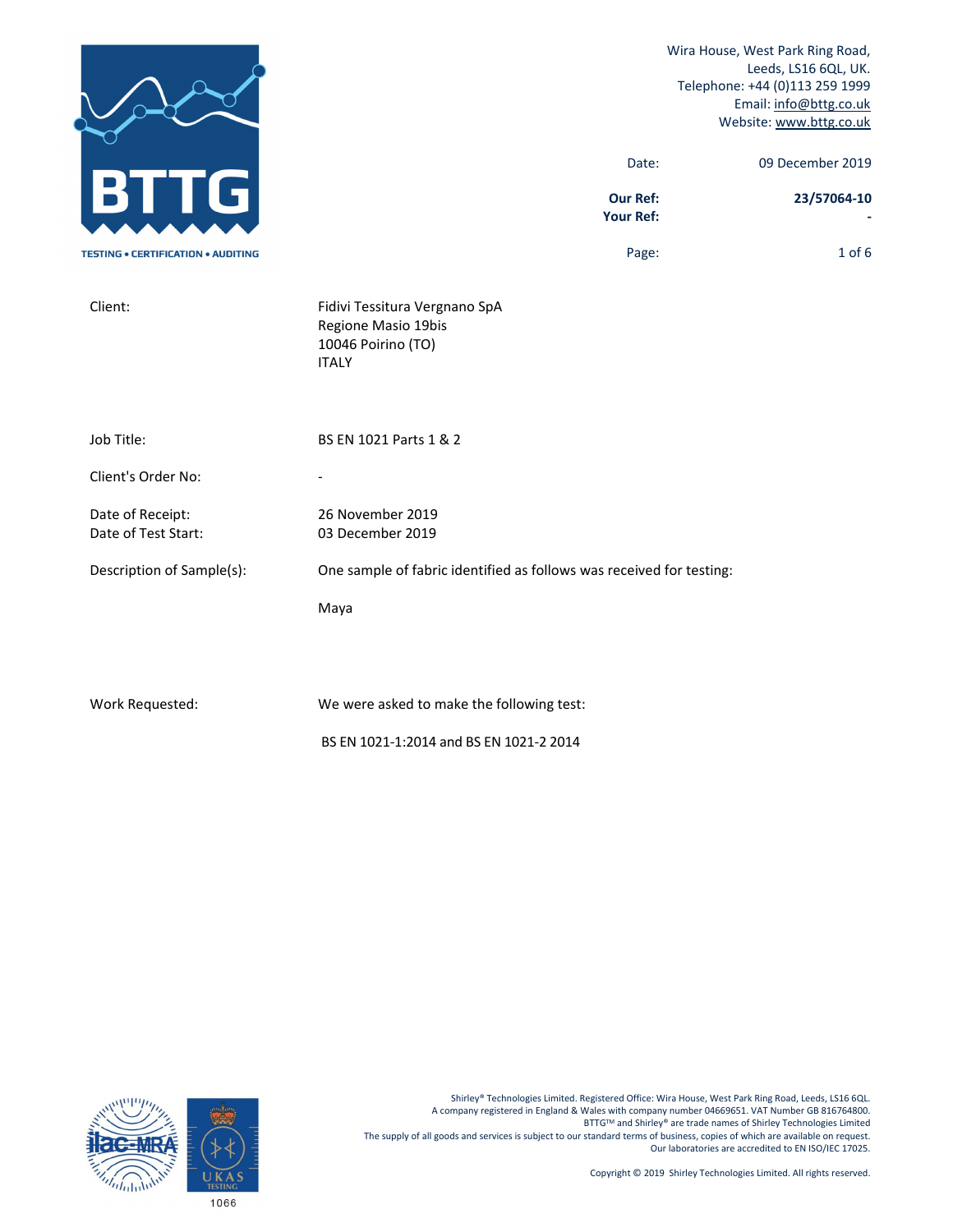|                                           |                                                                                            | Wira House, West Park Ring Road,<br>Leeds, LS16 6QL, UK.<br>Telephone: +44 (0)113 259 1999<br>Email: info@bttg.co.uk<br>Website: www.bttg.co.uk |
|-------------------------------------------|--------------------------------------------------------------------------------------------|-------------------------------------------------------------------------------------------------------------------------------------------------|
|                                           | Date:                                                                                      | 09 December 2019                                                                                                                                |
| G                                         | <b>Our Ref:</b><br>Your Ref:                                                               | 23/57064-10                                                                                                                                     |
| <b>TESTING . CERTIFICATION . AUDITING</b> | Page:                                                                                      | $1$ of $6$                                                                                                                                      |
| Client:                                   | Fidivi Tessitura Vergnano SpA<br>Regione Masio 19bis<br>10046 Poirino (TO)<br><b>ITALY</b> |                                                                                                                                                 |
| Job Title:                                | BS EN 1021 Parts 1 & 2                                                                     |                                                                                                                                                 |
| Client's Order No:                        |                                                                                            |                                                                                                                                                 |
| Date of Receipt:<br>Date of Test Start:   | 26 November 2019<br>03 December 2019                                                       |                                                                                                                                                 |
| Description of Sample(s):                 | One sample of fabric identified as follows was received for testing:                       |                                                                                                                                                 |
|                                           | Maya                                                                                       |                                                                                                                                                 |
|                                           |                                                                                            |                                                                                                                                                 |
| Work Requested:                           | We were asked to make the following test:                                                  |                                                                                                                                                 |
|                                           | BS EN 1021-1:2014 and BS EN 1021-2 2014                                                    |                                                                                                                                                 |

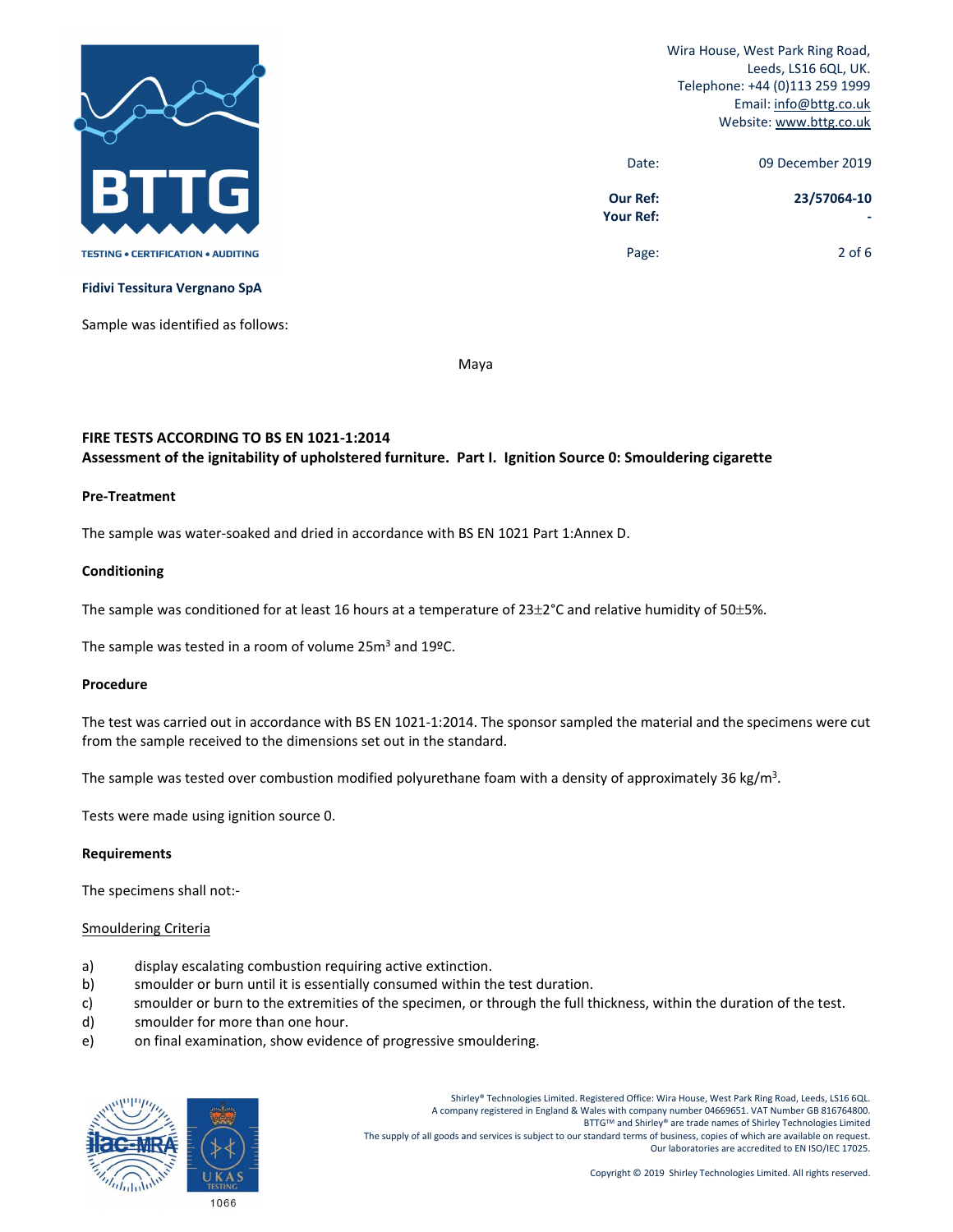

| 09 December 2019 | Date:                               |
|------------------|-------------------------------------|
| 23/57064-10      | <b>Our Ref:</b><br><b>Your Ref:</b> |
| 2 of $6$         | Page:                               |

**Fidivi Tessitura Vergnano SpA**

Sample was identified as follows:

Maya

# **FIRE TESTS ACCORDING TO BS EN 1021‐1:2014 Assessment of the ignitability of upholstered furniture. Part I. Ignition Source 0: Smouldering cigarette**

#### **Pre‐Treatment**

The sample was water‐soaked and dried in accordance with BS EN 1021 Part 1:Annex D.

#### **Conditioning**

The sample was conditioned for at least 16 hours at a temperature of  $23\pm2$ °C and relative humidity of 50 $\pm5$ %.

The sample was tested in a room of volume 25m<sup>3</sup> and 19ºC.

#### **Procedure**

The test was carried out in accordance with BS EN 1021‐1:2014. The sponsor sampled the material and the specimens were cut from the sample received to the dimensions set out in the standard.

The sample was tested over combustion modified polyurethane foam with a density of approximately 36 kg/m<sup>3</sup>.

Tests were made using ignition source 0.

#### **Requirements**

The specimens shall not:‐

## Smouldering Criteria

- a) display escalating combustion requiring active extinction.
- b) smoulder or burn until it is essentially consumed within the test duration.
- c) smoulder or burn to the extremities of the specimen, or through the full thickness, within the duration of the test.
- d) smoulder for more than one hour.
- e) on final examination, show evidence of progressive smouldering.

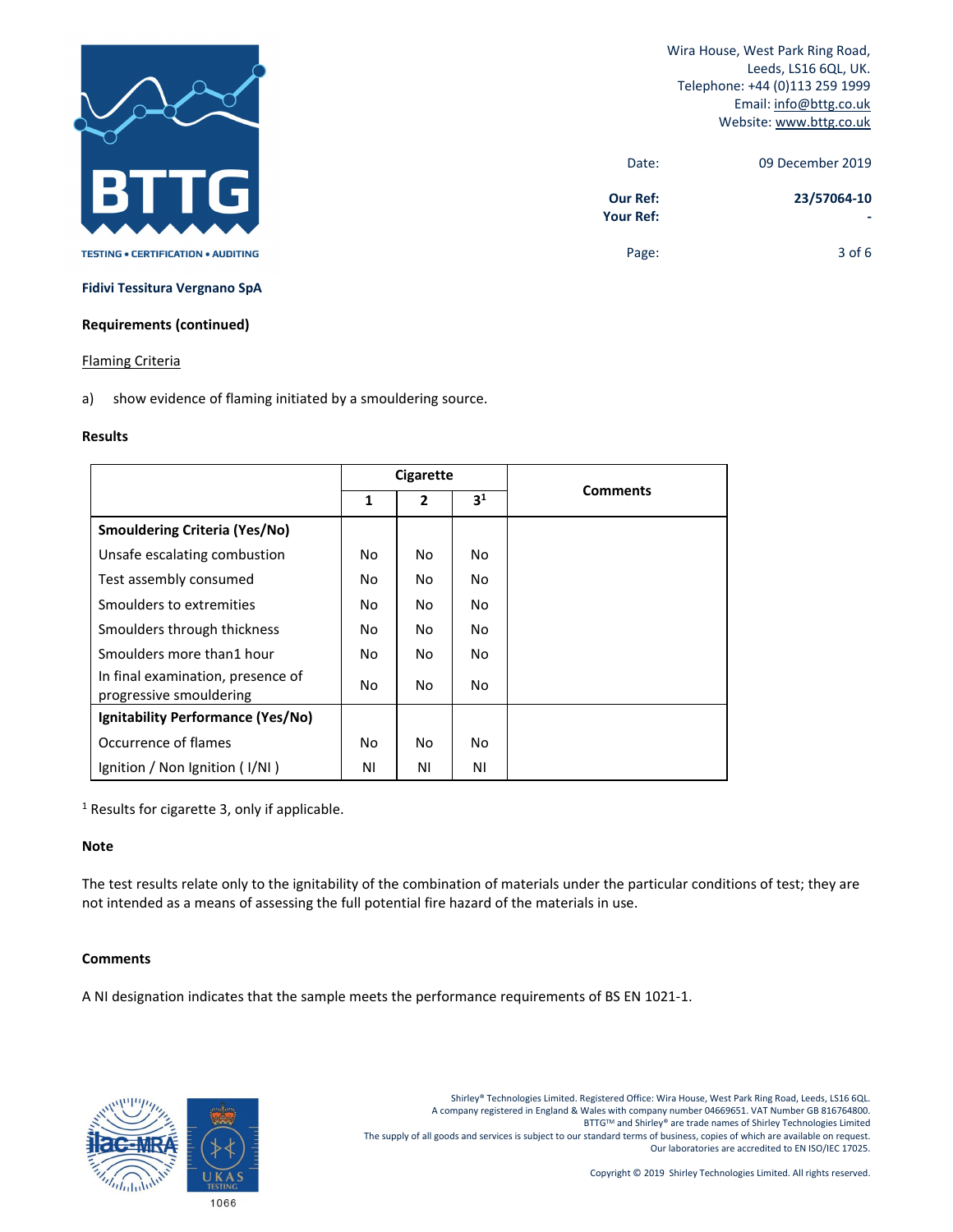

| 09 December 2019 | Date:                               |
|------------------|-------------------------------------|
| 23/57064-10      | <b>Our Ref:</b><br><b>Your Ref:</b> |
| $3$ of 6         | Page:                               |

**Fidivi Tessitura Vergnano SpA**

# **Requirements (continued)**

#### Flaming Criteria

a) show evidence of flaming initiated by a smouldering source.

## **Results**

|                                                              | Cigarette |                |                |                 |  |
|--------------------------------------------------------------|-----------|----------------|----------------|-----------------|--|
|                                                              | 1         | $\overline{2}$ | 3 <sup>1</sup> | <b>Comments</b> |  |
| <b>Smouldering Criteria (Yes/No)</b>                         |           |                |                |                 |  |
| Unsafe escalating combustion                                 | No        | No.            | No.            |                 |  |
| Test assembly consumed                                       | No        | No.            | No.            |                 |  |
| Smoulders to extremities                                     | No        | No.            | No             |                 |  |
| Smoulders through thickness                                  | No        | No             | No             |                 |  |
| Smoulders more than1 hour                                    | No        | No.            | No             |                 |  |
| In final examination, presence of<br>progressive smouldering | No        | No.            | No             |                 |  |
| Ignitability Performance (Yes/No)                            |           |                |                |                 |  |
| Occurrence of flames                                         | No        | No.            | No             |                 |  |
| Ignition / Non Ignition $(1/NI)$                             | ΝI        | ΝI             | ΝI             |                 |  |

<sup>1</sup> Results for cigarette 3, only if applicable.

# **Note**

The test results relate only to the ignitability of the combination of materials under the particular conditions of test; they are not intended as a means of assessing the full potential fire hazard of the materials in use.

## **Comments**

A NI designation indicates that the sample meets the performance requirements of BS EN 1021‐1.

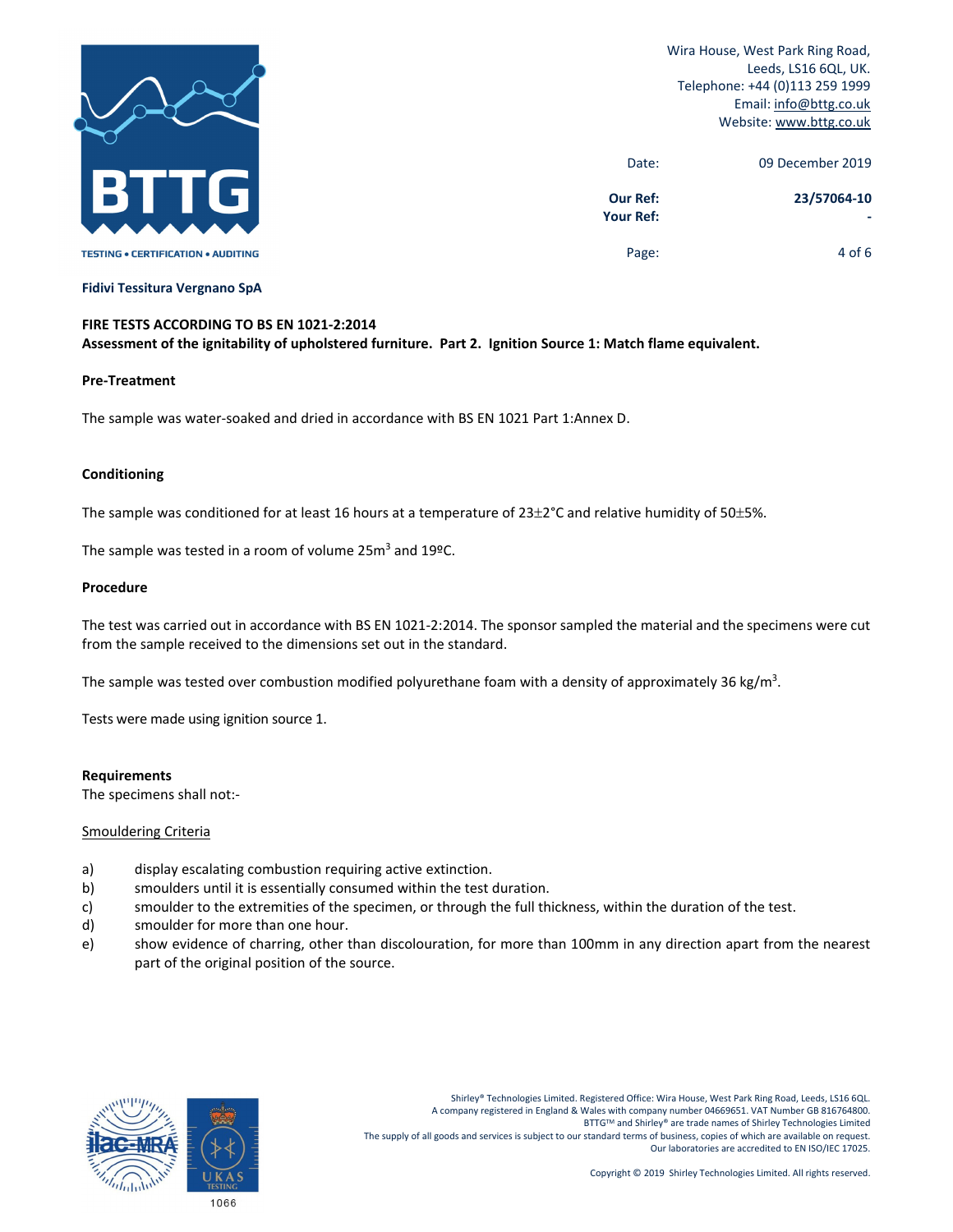

| 09 December 2019 | Date:                               |
|------------------|-------------------------------------|
| 23/57064-10      | <b>Our Ref:</b><br><b>Your Ref:</b> |
| 4 of 6           | Page:                               |

**Fidivi Tessitura Vergnano SpA**

# **FIRE TESTS ACCORDING TO BS EN 1021‐2:2014** Assessment of the ignitability of upholstered furniture. Part 2. Ignition Source 1: Match flame equivalent.

## **Pre‐Treatment**

The sample was water‐soaked and dried in accordance with BS EN 1021 Part 1:Annex D.

## **Conditioning**

The sample was conditioned for at least 16 hours at a temperature of  $23\pm2$ °C and relative humidity of 50 $\pm5$ %.

The sample was tested in a room of volume  $25m^3$  and  $19^{\circ}$ C.

## **Procedure**

The test was carried out in accordance with BS EN 1021‐2:2014. The sponsor sampled the material and the specimens were cut from the sample received to the dimensions set out in the standard.

The sample was tested over combustion modified polyurethane foam with a density of approximately 36 kg/m<sup>3</sup>.

Tests were made using ignition source 1.

## **Requirements**

The specimens shall not:‐

## Smouldering Criteria

- a) display escalating combustion requiring active extinction.
- b) smoulders until it is essentially consumed within the test duration.
- c) smoulder to the extremities of the specimen, or through the full thickness, within the duration of the test.
- d) smoulder for more than one hour.
- e) show evidence of charring, other than discolouration, for more than 100mm in any direction apart from the nearest part of the original position of the source.

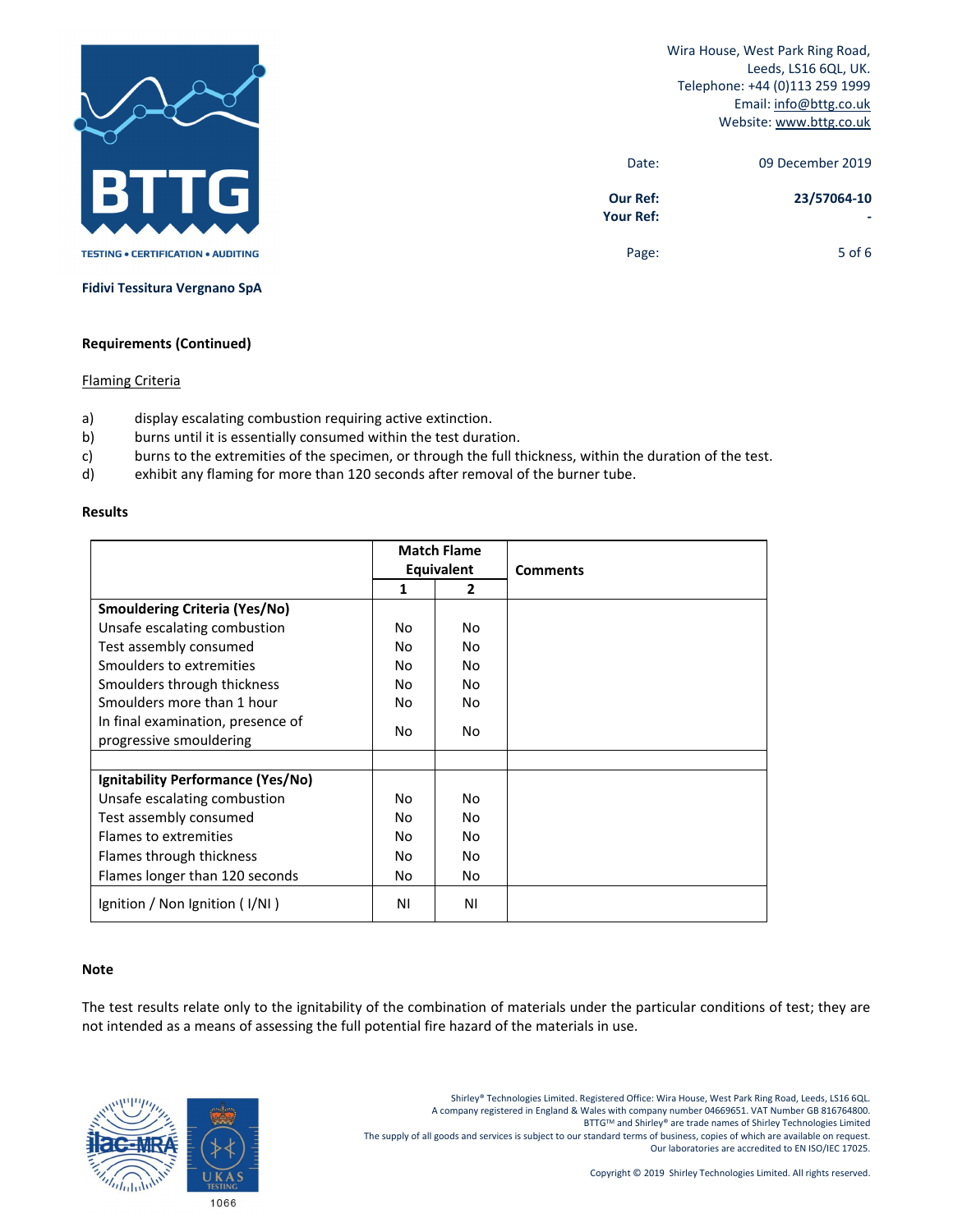

| 09 December 2019 | Date:                               |
|------------------|-------------------------------------|
| 23/57064-10      | <b>Our Ref:</b><br><b>Your Ref:</b> |
| $5$ of 6         | Page:                               |

**Fidivi Tessitura Vergnano SpA**

#### **Requirements (Continued)**

## Flaming Criteria

- a) display escalating combustion requiring active extinction.
- b) burns until it is essentially consumed within the test duration.
- c) burns to the extremities of the specimen, or through the full thickness, within the duration of the test.
- d) exhibit any flaming for more than 120 seconds after removal of the burner tube.

#### **Results**

|                                      | <b>Match Flame</b> |    |                 |  |
|--------------------------------------|--------------------|----|-----------------|--|
|                                      | Equivalent         |    | <b>Comments</b> |  |
|                                      | 1                  | 2  |                 |  |
| <b>Smouldering Criteria (Yes/No)</b> |                    |    |                 |  |
| Unsafe escalating combustion         | No.                | No |                 |  |
| Test assembly consumed               | No.                | No |                 |  |
| Smoulders to extremities             | No                 | No |                 |  |
| Smoulders through thickness          | No                 | No |                 |  |
| Smoulders more than 1 hour           | No                 | No |                 |  |
| In final examination, presence of    | No                 | No |                 |  |
| progressive smouldering              |                    |    |                 |  |
|                                      |                    |    |                 |  |
| Ignitability Performance (Yes/No)    |                    |    |                 |  |
| Unsafe escalating combustion         | No.                | No |                 |  |
| Test assembly consumed               | No                 | No |                 |  |
| Flames to extremities                | No                 | No |                 |  |
| Flames through thickness             | No                 | No |                 |  |
| Flames longer than 120 seconds       | No                 | No |                 |  |
| Ignition / Non Ignition (I/NI)       | ΝI                 | ΝI |                 |  |

#### **Note**

The test results relate only to the ignitability of the combination of materials under the particular conditions of test; they are not intended as a means of assessing the full potential fire hazard of the materials in use.



Shirley® Technologies Limited. Registered Office: Wira House, West Park Ring Road, Leeds, LS16 6QL. A company registered in England & Wales with company number 04669651. VAT Number GB 816764800.<br>BTTG™ and Shirley® are trade names of Shirley Technologies Limited The supply of all goods and services is subject to our standard terms of business, copies of which are available on request. Our laboratories are accredited to EN ISO/IEC 17025.